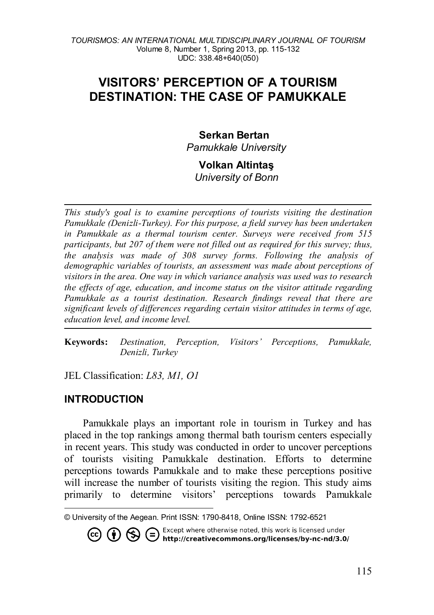# **VISITORS' PERCEPTION OF A TOURISM DESTINATION: THE CASE OF PAMUKKALE**

# **Serkan Bertan**

*Pamukkale University* 

## **Volkan Altintaş** *University of Bonn*

*This study's goal is to examine perceptions of tourists visiting the destination Pamukkale (Denizli-Turkey). For this purpose, a field survey has been undertaken in Pamukkale as a thermal tourism center. Surveys were received from 515 participants, but 207 of them were not filled out as required for this survey; thus, the analysis was made of 308 survey forms. Following the analysis of demographic variables of tourists, an assessment was made about perceptions of visitors in the area. One way in which variance analysis was used was to research the effects of age, education, and income status on the visitor attitude regarding Pamukkale as a tourist destination. Research findings reveal that there are significant levels of differences regarding certain visitor attitudes in terms of age, education level, and income level.*

**Keywords:** *Destination, Perception, Visitors' Perceptions, Pamukkale, Denizli, Turkey*

JEL Classification: *L83, M1, O1*

# **INTRODUCTION**

Pamukkale plays an important role in tourism in Turkey and has placed in the top rankings among thermal bath tourism centers especially in recent years. This study was conducted in order to uncover perceptions of tourists visiting Pamukkale destination. Efforts to determine perceptions towards Pamukkale and to make these perceptions positive will increase the number of tourists visiting the region. This study aims primarily to determine visitors' perceptions towards Pamukkale

**CO (i)** S Except where otherwise noted, this work is licensed under<br>http://creativecommons.org/licenses/by-nc-nd/3.0/

<span id="page-0-0"></span> $\overline{a}$ © University of the Aegean. Print ISSN: 1790-8418, Online ISSN: 1792-6521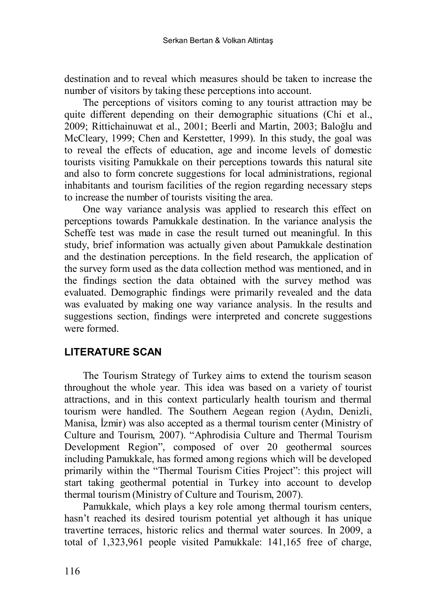destination and to reveal which measures should be taken to increase the number of visitors by taking these perceptions into account.

The perceptions of visitors coming to any tourist attraction may be quite different depending on their demographic situations (Chi et al., 2009; Rittichainuwat et al., 2001; Beerli and Martin, 2003; Baloğlu and McCleary, 1999; Chen and Kerstetter, 1999). In this study, the goal was to reveal the effects of education, age and income levels of domestic tourists visiting Pamukkale on their perceptions towards this natural site and also to form concrete suggestions for local administrations, regional inhabitants and tourism facilities of the region regarding necessary steps to increase the number of tourists visiting the area.

One way variance analysis was applied to research this effect on perceptions towards Pamukkale destination. In the variance analysis the Scheffe test was made in case the result turned out meaningful. In this study, brief information was actually given about Pamukkale destination and the destination perceptions. In the field research, the application of the survey form used as the data collection method was mentioned, and in the findings section the data obtained with the survey method was evaluated. Demographic findings were primarily revealed and the data was evaluated by making one way variance analysis. In the results and suggestions section, findings were interpreted and concrete suggestions were formed.

# **LITERATURE SCAN**

The Tourism Strategy of Turkey aims to extend the tourism season throughout the whole year. This idea was based on a variety of tourist attractions, and in this context particularly health tourism and thermal tourism were handled. The Southern Aegean region (Aydın, Denizli, Manisa, İzmir) was also accepted as a thermal tourism center (Ministry of Culture and Tourism, 2007). "Aphrodisia Culture and Thermal Tourism Development Region", composed of over 20 geothermal sources including Pamukkale, has formed among regions which will be developed primarily within the "Thermal Tourism Cities Project": this project will start taking geothermal potential in Turkey into account to develop thermal tourism (Ministry of Culture and Tourism, 2007).

Pamukkale, which plays a key role among thermal tourism centers, hasn't reached its desired tourism potential yet although it has unique travertine terraces, historic relics and thermal water sources. In 2009, a total of 1,323,961 people visited Pamukkale: 141,165 free of charge,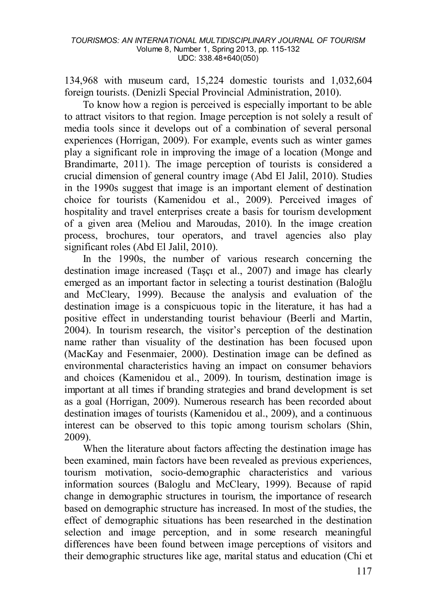134,968 with museum card, 15,224 domestic tourists and 1,032,604 foreign tourists. (Denizli Special Provincial Administration, 2010).

To know how a region is perceived is especially important to be able to attract visitors to that region. Image perception is not solely a result of media tools since it develops out of a combination of several personal experiences (Horrigan, 2009). For example, events such as winter games play a significant role in improving the image of a location (Monge and Brandimarte, 2011). The image perception of tourists is considered a crucial dimension of general country image (Abd El Jalil, 2010). Studies in the 1990s suggest that image is an important element of destination choice for tourists (Kamenidou et al., 2009). Perceived images of hospitality and travel enterprises create a basis for tourism development of a given area (Meliou and Maroudas, 2010). In the image creation process, brochures, tour operators, and travel agencies also play significant roles (Abd El Jalil, 2010).

In the 1990s, the number of various research concerning the destination image increased (Taşçı et al., 2007) and image has clearly emerged as an important factor in selecting a tourist destination (Baloğlu and McCleary, 1999). Because the analysis and evaluation of the destination image is a conspicuous topic in the literature, it has had a positive effect in understanding tourist behaviour (Beerli and Martin, 2004). In tourism research, the visitor's perception of the destination name rather than visuality of the destination has been focused upon (MacKay and Fesenmaier, 2000). Destination image can be defined as environmental characteristics having an impact on consumer behaviors and choices (Kamenidou et al., 2009). In tourism, destination image is important at all times if branding strategies and brand development is set as a goal (Horrigan, 2009). Numerous research has been recorded about destination images of tourists (Kamenidou et al., 2009), and a continuous interest can be observed to this topic among tourism scholars (Shin, 2009).

When the literature about factors affecting the destination image has been examined, main factors have been revealed as previous experiences, tourism motivation, socio-demographic characteristics and various information sources (Baloglu and McCleary, 1999). Because of rapid change in demographic structures in tourism, the importance of research based on demographic structure has increased. In most of the studies, the effect of demographic situations has been researched in the destination selection and image perception, and in some research meaningful differences have been found between image perceptions of visitors and their demographic structures like age, marital status and education (Chi et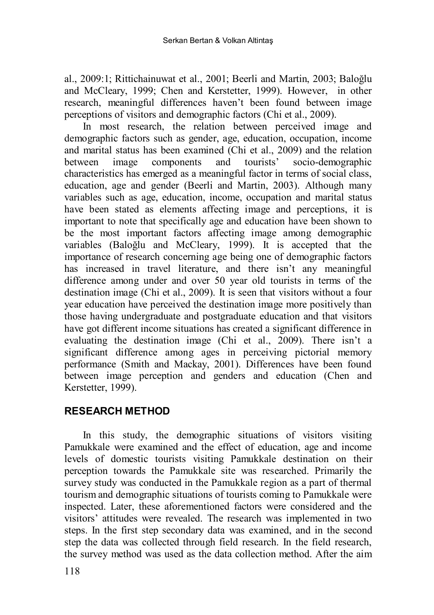al., 2009:1; Rittichainuwat et al., 2001; Beerli and Martin, 2003; Baloğlu and McCleary, 1999; Chen and Kerstetter, 1999). However, in other research, meaningful differences haven't been found between image perceptions of visitors and demographic factors (Chi et al., 2009).

In most research, the relation between perceived image and demographic factors such as gender, age, education, occupation, income and marital status has been examined (Chi et al., 2009) and the relation between image components and tourists' socio-demographic characteristics has emerged as a meaningful factor in terms of social class, education, age and gender (Beerli and Martin, 2003). Although many variables such as age, education, income, occupation and marital status have been stated as elements affecting image and perceptions, it is important to note that specifically age and education have been shown to be the most important factors affecting image among demographic variables (Baloğlu and McCleary, 1999). It is accepted that the importance of research concerning age being one of demographic factors has increased in travel literature, and there isn't any meaningful difference among under and over 50 year old tourists in terms of the destination image (Chi et al., 2009). It is seen that visitors without a four year education have perceived the destination image more positively than those having undergraduate and postgraduate education and that visitors have got different income situations has created a significant difference in evaluating the destination image (Chi et al., 2009). There isn't a significant difference among ages in perceiving pictorial memory performance (Smith and Mackay, 2001). Differences have been found between image perception and genders and education (Chen and Kerstetter, 1999).

# **RESEARCH METHOD**

In this study, the demographic situations of visitors visiting Pamukkale were examined and the effect of education, age and income levels of domestic tourists visiting Pamukkale destination on their perception towards the Pamukkale site was researched. Primarily the survey study was conducted in the Pamukkale region as a part of thermal tourism and demographic situations of tourists coming to Pamukkale were inspected. Later, these aforementioned factors were considered and the visitors' attitudes were revealed. The research was implemented in two steps. In the first step secondary data was examined, and in the second step the data was collected through field research. In the field research, the survey method was used as the data collection method. After the aim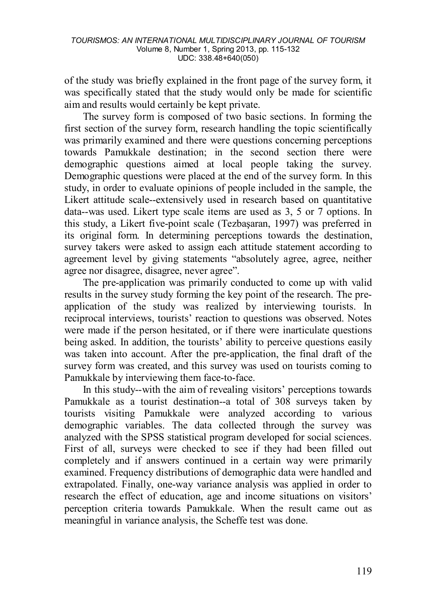of the study was briefly explained in the front page of the survey form, it was specifically stated that the study would only be made for scientific aim and results would certainly be kept private.

The survey form is composed of two basic sections. In forming the first section of the survey form, research handling the topic scientifically was primarily examined and there were questions concerning perceptions towards Pamukkale destination; in the second section there were demographic questions aimed at local people taking the survey. Demographic questions were placed at the end of the survey form. In this study, in order to evaluate opinions of people included in the sample, the Likert attitude scale--extensively used in research based on quantitative data--was used. Likert type scale items are used as 3, 5 or 7 options. In this study, a Likert five-point scale (Tezbaşaran, 1997) was preferred in its original form. In determining perceptions towards the destination, survey takers were asked to assign each attitude statement according to agreement level by giving statements "absolutely agree, agree, neither agree nor disagree, disagree, never agree".

The pre-application was primarily conducted to come up with valid results in the survey study forming the key point of the research. The preapplication of the study was realized by interviewing tourists. In reciprocal interviews, tourists' reaction to questions was observed. Notes were made if the person hesitated, or if there were inarticulate questions being asked. In addition, the tourists' ability to perceive questions easily was taken into account. After the pre-application, the final draft of the survey form was created, and this survey was used on tourists coming to Pamukkale by interviewing them face-to-face.

In this study--with the aim of revealing visitors' perceptions towards Pamukkale as a tourist destination--a total of 308 surveys taken by tourists visiting Pamukkale were analyzed according to various demographic variables. The data collected through the survey was analyzed with the SPSS statistical program developed for social sciences. First of all, surveys were checked to see if they had been filled out completely and if answers continued in a certain way were primarily examined. Frequency distributions of demographic data were handled and extrapolated. Finally, one-way variance analysis was applied in order to research the effect of education, age and income situations on visitors' perception criteria towards Pamukkale. When the result came out as meaningful in variance analysis, the Scheffe test was done.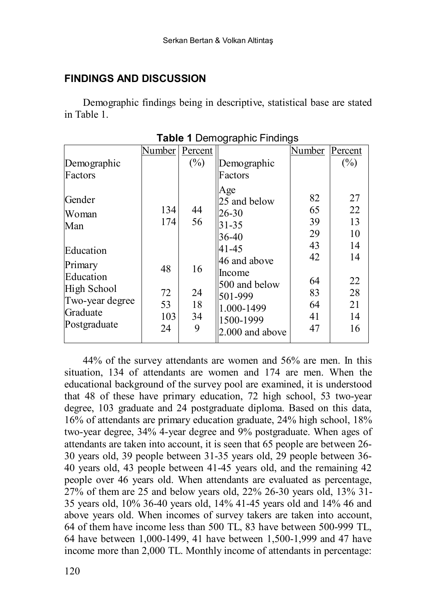# **FINDINGS AND DISCUSSION**

Demographic findings being in descriptive, statistical base are stated in Table 1.

|                                                                                                                           | Number                                    | Percent                               |                                                                                                                                                                 | Number                                                         | Percent                                                        |
|---------------------------------------------------------------------------------------------------------------------------|-------------------------------------------|---------------------------------------|-----------------------------------------------------------------------------------------------------------------------------------------------------------------|----------------------------------------------------------------|----------------------------------------------------------------|
| Demographic                                                                                                               |                                           | $(\%)$                                | Demographic                                                                                                                                                     |                                                                | $(\%)$                                                         |
| Factors                                                                                                                   |                                           |                                       | Factors                                                                                                                                                         |                                                                |                                                                |
| Gender<br>Woman<br>Man<br>Education<br>Primary<br>Education<br>High School<br>Two-year degree<br>Graduate<br>Postgraduate | 134<br>174<br>48<br>72<br>53<br>103<br>24 | 44<br>56<br>16<br>24<br>18<br>34<br>9 | Age<br>25 and below<br>26-30<br>$31 - 35$<br>36-40<br>41-45<br>46 and above<br>Income<br>500 and below<br>501-999<br>1.000-1499<br>1500-1999<br>2.000 and above | 82<br>65<br>39<br>29<br>43<br>42<br>64<br>83<br>64<br>41<br>47 | 27<br>22<br>13<br>10<br>14<br>14<br>22<br>28<br>21<br>14<br>16 |

**Table 1** Demographic Findings

44% of the survey attendants are women and 56% are men. In this situation, 134 of attendants are women and 174 are men. When the educational background of the survey pool are examined, it is understood that 48 of these have primary education, 72 high school, 53 two-year degree, 103 graduate and 24 postgraduate diploma. Based on this data, 16% of attendants are primary education graduate, 24% high school, 18% two-year degree, 34% 4-year degree and 9% postgraduate. When ages of attendants are taken into account, it is seen that 65 people are between 26- 30 years old, 39 people between 31-35 years old, 29 people between 36- 40 years old, 43 people between 41-45 years old, and the remaining 42 people over 46 years old. When attendants are evaluated as percentage, 27% of them are 25 and below years old, 22% 26-30 years old, 13% 31- 35 years old, 10% 36-40 years old, 14% 41-45 years old and 14% 46 and above years old. When incomes of survey takers are taken into account, 64 of them have income less than 500 TL, 83 have between 500-999 TL, 64 have between 1,000-1499, 41 have between 1,500-1,999 and 47 have income more than 2,000 TL. Monthly income of attendants in percentage: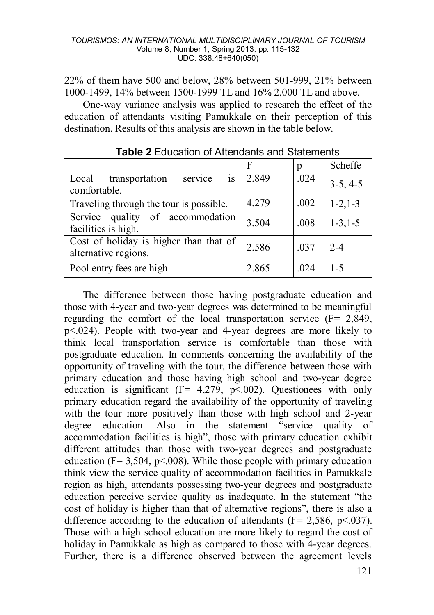22% of them have 500 and below, 28% between 501-999, 21% between 1000-1499, 14% between 1500-1999 TL and 16% 2,000 TL and above.

One-way variance analysis was applied to research the effect of the education of attendants visiting Pamukkale on their perception of this destination. Results of this analysis are shown in the table below.

|                                          | F     | р    | Scheffe        |
|------------------------------------------|-------|------|----------------|
| is<br>transportation<br>Local<br>service | 2.849 | .024 | $3-5, 4-5$     |
| comfortable.                             |       |      |                |
| Traveling through the tour is possible.  | 4.279 | .002 | $1 - 2, 1 - 3$ |
| Service quality of accommodation         | 3.504 | .008 | $1 - 3, 1 - 5$ |
| facilities is high.                      |       |      |                |
| Cost of holiday is higher than that of   | 2.586 | .037 | $2 - 4$        |
| alternative regions.                     |       |      |                |
| Pool entry fees are high.                | 2.865 | .024 | $1-5$          |

**Table 2** Education of Attendants and Statements

The difference between those having postgraduate education and those with 4-year and two-year degrees was determined to be meaningful regarding the comfort of the local transportation service (F= 2,849, p<.024). People with two-year and 4-year degrees are more likely to think local transportation service is comfortable than those with postgraduate education. In comments concerning the availability of the opportunity of traveling with the tour, the difference between those with primary education and those having high school and two-year degree education is significant  $(F= 4.279, p \le 0.002)$ . Questionees with only primary education regard the availability of the opportunity of traveling with the tour more positively than those with high school and 2-year degree education. Also in the statement "service quality of accommodation facilities is high", those with primary education exhibit different attitudes than those with two-year degrees and postgraduate education ( $F = 3,504$ ,  $p \le 0.008$ ). While those people with primary education think view the service quality of accommodation facilities in Pamukkale region as high, attendants possessing two-year degrees and postgraduate education perceive service quality as inadequate. In the statement "the cost of holiday is higher than that of alternative regions", there is also a difference according to the education of attendants ( $F = 2.586$ ,  $p \le 0.037$ ). Those with a high school education are more likely to regard the cost of holiday in Pamukkale as high as compared to those with 4-year degrees. Further, there is a difference observed between the agreement levels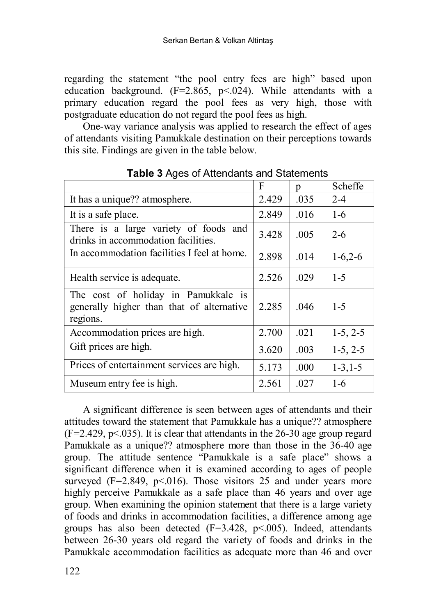regarding the statement "the pool entry fees are high" based upon education background.  $(F=2.865, p<0.24)$ . While attendants with a primary education regard the pool fees as very high, those with postgraduate education do not regard the pool fees as high.

One-way variance analysis was applied to research the effect of ages of attendants visiting Pamukkale destination on their perceptions towards this site. Findings are given in the table below.

|                                                                                              | F     | p    | Scheffe        |  |  |
|----------------------------------------------------------------------------------------------|-------|------|----------------|--|--|
| It has a unique?? atmosphere.                                                                | 2.429 | .035 | $2 - 4$        |  |  |
| It is a safe place.                                                                          | 2.849 | .016 | $1-6$          |  |  |
| There is a large variety of foods and<br>drinks in accommodation facilities.                 | 3.428 | .005 | $2 - 6$        |  |  |
| In accommodation facilities I feel at home.                                                  | 2.898 | .014 | $1-6,2-6$      |  |  |
| Health service is adequate.                                                                  | 2.526 | .029 | $1-5$          |  |  |
| The cost of holiday in Pamukkale is<br>generally higher than that of alternative<br>regions. | 2.285 | .046 | $1-5$          |  |  |
| Accommodation prices are high.                                                               | 2.700 | .021 | $1-5, 2-5$     |  |  |
| Gift prices are high.                                                                        | 3.620 | .003 | $1-5, 2-5$     |  |  |
| Prices of entertainment services are high.                                                   | 5.173 | .000 | $1 - 3, 1 - 5$ |  |  |
| Museum entry fee is high.                                                                    | 2.561 | .027 | $1-6$          |  |  |

**Table 3** Ages of Attendants and Statements

A significant difference is seen between ages of attendants and their attitudes toward the statement that Pamukkale has a unique?? atmosphere  $(F=2.429, p\le 0.035)$ . It is clear that attendants in the 26-30 age group regard Pamukkale as a unique?? atmosphere more than those in the 36-40 age group. The attitude sentence "Pamukkale is a safe place" shows a significant difference when it is examined according to ages of people surveyed  $(F=2.849, p<0.016)$ . Those visitors 25 and under years more highly perceive Pamukkale as a safe place than 46 years and over age group. When examining the opinion statement that there is a large variety of foods and drinks in accommodation facilities, a difference among age groups has also been detected  $(F=3.428, p<0.005)$ . Indeed, attendants between 26-30 years old regard the variety of foods and drinks in the Pamukkale accommodation facilities as adequate more than 46 and over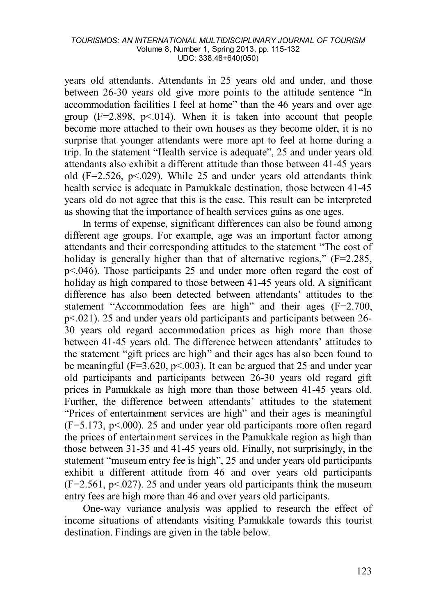years old attendants. Attendants in 25 years old and under, and those between 26-30 years old give more points to the attitude sentence "In accommodation facilities I feel at home" than the 46 years and over age group  $(F=2.898, p<0.014)$ . When it is taken into account that people become more attached to their own houses as they become older, it is no surprise that younger attendants were more apt to feel at home during a trip. In the statement "Health service is adequate", 25 and under years old attendants also exhibit a different attitude than those between 41-45 years old  $(F=2.526, p<0.29)$ . While 25 and under years old attendants think health service is adequate in Pamukkale destination, those between 41-45 years old do not agree that this is the case. This result can be interpreted as showing that the importance of health services gains as one ages.

In terms of expense, significant differences can also be found among different age groups. For example, age was an important factor among attendants and their corresponding attitudes to the statement "The cost of holiday is generally higher than that of alternative regions,"  $(F=2.285)$ . p<.046). Those participants 25 and under more often regard the cost of holiday as high compared to those between 41-45 years old. A significant difference has also been detected between attendants' attitudes to the statement "Accommodation fees are high" and their ages (F=2.700, p<.021). 25 and under years old participants and participants between 26- 30 years old regard accommodation prices as high more than those between 41-45 years old. The difference between attendants' attitudes to the statement "gift prices are high" and their ages has also been found to be meaningful ( $F=3.620$ ,  $p<.003$ ). It can be argued that 25 and under year old participants and participants between 26-30 years old regard gift prices in Pamukkale as high more than those between 41-45 years old. Further, the difference between attendants' attitudes to the statement "Prices of entertainment services are high" and their ages is meaningful  $(F=5.173, p<.000)$ . 25 and under year old participants more often regard the prices of entertainment services in the Pamukkale region as high than those between 31-35 and 41-45 years old. Finally, not surprisingly, in the statement "museum entry fee is high", 25 and under years old participants exhibit a different attitude from 46 and over years old participants  $(F=2.561, p\le 0.027)$ . 25 and under years old participants think the museum entry fees are high more than 46 and over years old participants.

One-way variance analysis was applied to research the effect of income situations of attendants visiting Pamukkale towards this tourist destination. Findings are given in the table below.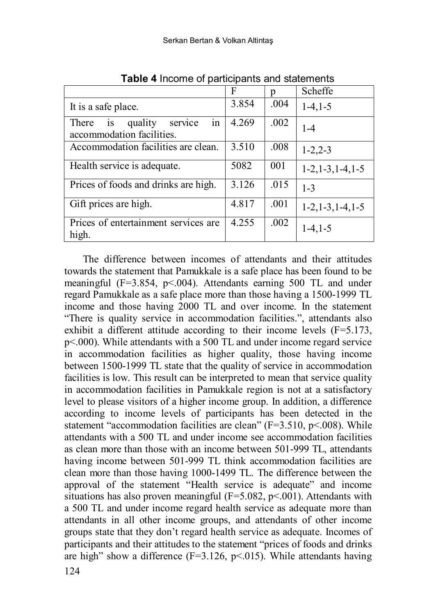|                                                                      | F     | p    | Scheffe              |  |  |
|----------------------------------------------------------------------|-------|------|----------------------|--|--|
| It is a safe place.                                                  | 3.854 | .004 | $1-4, 1-5$           |  |  |
| in<br>quality<br>There<br>is<br>service<br>accommodation facilities. | 4.269 | .002 | $1 - 4$              |  |  |
| Accommodation facilities are clean.                                  | 3.510 | .008 | $1 - 2, 2 - 3$       |  |  |
| Health service is adequate.                                          | 5082  | 001  | $1-2, 1-3, 1-4, 1-5$ |  |  |
| Prices of foods and drinks are high.                                 | 3.126 | .015 | $1 - 3$              |  |  |
| Gift prices are high.                                                | 4.817 | .001 | $1-2, 1-3, 1-4, 1-5$ |  |  |
| Prices of entertainment services are<br>high.                        | 4.255 | .002 | $1-4, 1-5$           |  |  |

**Table 4** Income of participants and statements

The difference between incomes of attendants and their attitudes towards the statement that Pamukkale is a safe place has been found to be meaningful (F=3.854, p<.004). Attendants earning 500 TL and under regard Pamukkale as a safe place more than those having a 1500-1999 TL income and those having 2000 TL and over income. In the statement "There is quality service in accommodation facilities.", attendants also exhibit a different attitude according to their income levels (F=5.173, p<.000). While attendants with a 500 TL and under income regard service in accommodation facilities as higher quality, those having income between 1500-1999 TL state that the quality of service in accommodation facilities is low. This result can be interpreted to mean that service quality in accommodation facilities in Pamukkale region is not at a satisfactory level to please visitors of a higher income group. In addition, a difference according to income levels of participants has been detected in the statement "accommodation facilities are clean" (F=3.510, p<.008). While attendants with a 500 TL and under income see accommodation facilities as clean more than those with an income between 501-999 TL, attendants having income between 501-999 TL think accommodation facilities are clean more than those having 1000-1499 TL. The difference between the approval of the statement "Health service is adequate" and income situations has also proven meaningful ( $F=5.082$ ,  $p<.001$ ). Attendants with a 500 TL and under income regard health service as adequate more than attendants in all other income groups, and attendants of other income groups state that they don't regard health service as adequate. Incomes of participants and their attitudes to the statement "prices of foods and drinks are high" show a difference  $(F=3.126, p<0.015)$ . While attendants having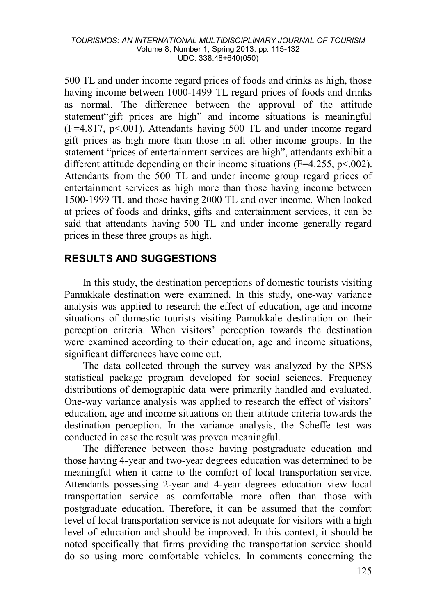500 TL and under income regard prices of foods and drinks as high, those having income between 1000-1499 TL regard prices of foods and drinks as normal. The difference between the approval of the attitude statement"gift prices are high" and income situations is meaningful  $(F=4.817, p<0.001)$ . Attendants having 500 TL and under income regard gift prices as high more than those in all other income groups. In the statement "prices of entertainment services are high", attendants exhibit a different attitude depending on their income situations ( $F=4.255$ ,  $p<.002$ ). Attendants from the 500 TL and under income group regard prices of entertainment services as high more than those having income between 1500-1999 TL and those having 2000 TL and over income. When looked at prices of foods and drinks, gifts and entertainment services, it can be said that attendants having 500 TL and under income generally regard prices in these three groups as high.

# **RESULTS AND SUGGESTIONS**

In this study, the destination perceptions of domestic tourists visiting Pamukkale destination were examined. In this study, one-way variance analysis was applied to research the effect of education, age and income situations of domestic tourists visiting Pamukkale destination on their perception criteria. When visitors' perception towards the destination were examined according to their education, age and income situations, significant differences have come out.

The data collected through the survey was analyzed by the SPSS statistical package program developed for social sciences. Frequency distributions of demographic data were primarily handled and evaluated. One-way variance analysis was applied to research the effect of visitors' education, age and income situations on their attitude criteria towards the destination perception. In the variance analysis, the Scheffe test was conducted in case the result was proven meaningful.

The difference between those having postgraduate education and those having 4-year and two-year degrees education was determined to be meaningful when it came to the comfort of local transportation service. Attendants possessing 2-year and 4-year degrees education view local transportation service as comfortable more often than those with postgraduate education. Therefore, it can be assumed that the comfort level of local transportation service is not adequate for visitors with a high level of education and should be improved. In this context, it should be noted specifically that firms providing the transportation service should do so using more comfortable vehicles. In comments concerning the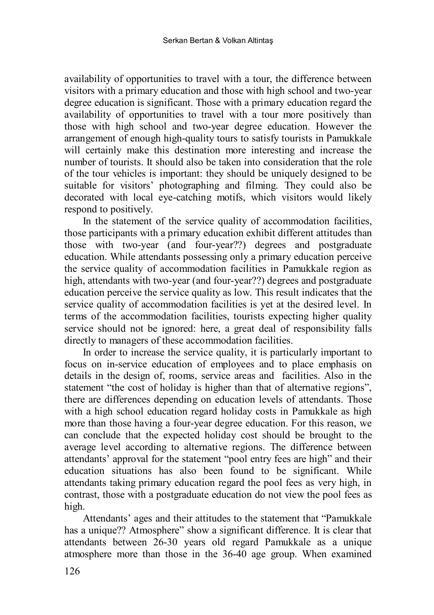availability of opportunities to travel with a tour, the difference between visitors with a primary education and those with high school and two-year degree education is significant. Those with a primary education regard the availability of opportunities to travel with a tour more positively than those with high school and two-year degree education. However the arrangement of enough high-quality tours to satisfy tourists in Pamukkale will certainly make this destination more interesting and increase the number of tourists. It should also be taken into consideration that the role of the tour vehicles is important: they should be uniquely designed to be suitable for visitors' photographing and filming. They could also be decorated with local eye-catching motifs, which visitors would likely respond to positively.

In the statement of the service quality of accommodation facilities, those participants with a primary education exhibit different attitudes than those with two-year (and four-year??) degrees and postgraduate education. While attendants possessing only a primary education perceive the service quality of accommodation facilities in Pamukkale region as high, attendants with two-year (and four-year??) degrees and postgraduate education perceive the service quality as low. This result indicates that the service quality of accommodation facilities is yet at the desired level. In terms of the accommodation facilities, tourists expecting higher quality service should not be ignored: here, a great deal of responsibility falls directly to managers of these accommodation facilities.

In order to increase the service quality, it is particularly important to focus on in-service education of employees and to place emphasis on details in the design of, rooms, service areas and facilities. Also in the statement "the cost of holiday is higher than that of alternative regions", there are differences depending on education levels of attendants. Those with a high school education regard holiday costs in Pamukkale as high more than those having a four-year degree education. For this reason, we can conclude that the expected holiday cost should be brought to the average level according to alternative regions. The difference between attendants' approval for the statement "pool entry fees are high" and their education situations has also been found to be significant. While attendants taking primary education regard the pool fees as very high, in contrast, those with a postgraduate education do not view the pool fees as high.

Attendants' ages and their attitudes to the statement that "Pamukkale has a unique?? Atmosphere" show a significant difference. It is clear that attendants between 26-30 years old regard Pamukkale as a unique atmosphere more than those in the 36-40 age group. When examined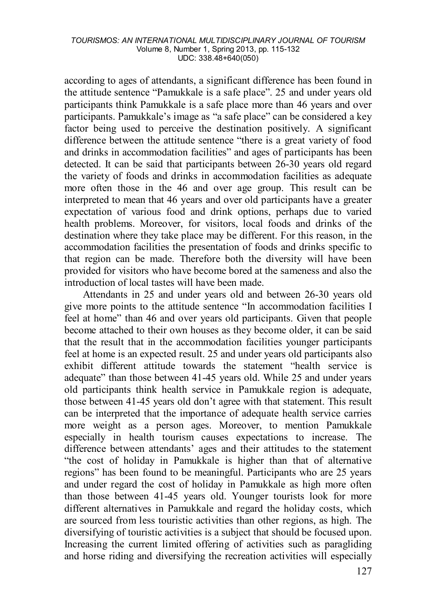according to ages of attendants, a significant difference has been found in the attitude sentence "Pamukkale is a safe place". 25 and under years old participants think Pamukkale is a safe place more than 46 years and over participants. Pamukkale's image as "a safe place" can be considered a key factor being used to perceive the destination positively. A significant difference between the attitude sentence "there is a great variety of food and drinks in accommodation facilities" and ages of participants has been detected. It can be said that participants between 26-30 years old regard the variety of foods and drinks in accommodation facilities as adequate more often those in the 46 and over age group. This result can be interpreted to mean that 46 years and over old participants have a greater expectation of various food and drink options, perhaps due to varied health problems. Moreover, for visitors, local foods and drinks of the destination where they take place may be different. For this reason, in the accommodation facilities the presentation of foods and drinks specific to that region can be made. Therefore both the diversity will have been provided for visitors who have become bored at the sameness and also the introduction of local tastes will have been made.

Attendants in 25 and under years old and between 26-30 years old give more points to the attitude sentence "In accommodation facilities I feel at home" than 46 and over years old participants. Given that people become attached to their own houses as they become older, it can be said that the result that in the accommodation facilities younger participants feel at home is an expected result. 25 and under years old participants also exhibit different attitude towards the statement "health service is adequate" than those between 41-45 years old. While 25 and under years old participants think health service in Pamukkale region is adequate, those between 41-45 years old don't agree with that statement. This result can be interpreted that the importance of adequate health service carries more weight as a person ages. Moreover, to mention Pamukkale especially in health tourism causes expectations to increase. The difference between attendants' ages and their attitudes to the statement "the cost of holiday in Pamukkale is higher than that of alternative regions" has been found to be meaningful. Participants who are 25 years and under regard the cost of holiday in Pamukkale as high more often than those between 41-45 years old. Younger tourists look for more different alternatives in Pamukkale and regard the holiday costs, which are sourced from less touristic activities than other regions, as high. The diversifying of touristic activities is a subject that should be focused upon. Increasing the current limited offering of activities such as paragliding and horse riding and diversifying the recreation activities will especially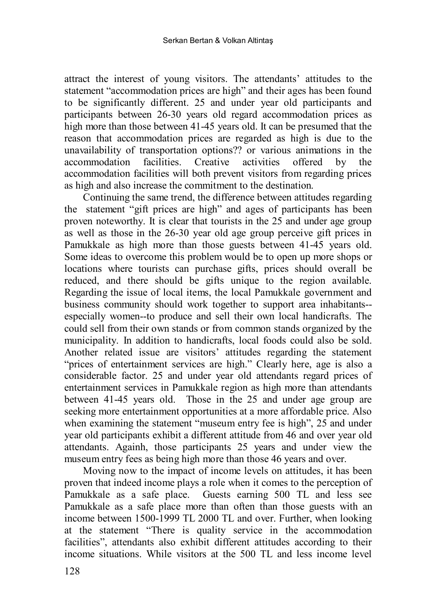attract the interest of young visitors. The attendants' attitudes to the statement "accommodation prices are high" and their ages has been found to be significantly different. 25 and under year old participants and participants between 26-30 years old regard accommodation prices as high more than those between 41-45 years old. It can be presumed that the reason that accommodation prices are regarded as high is due to the unavailability of transportation options?? or various animations in the accommodation facilities. Creative activities offered by the accommodation facilities will both prevent visitors from regarding prices as high and also increase the commitment to the destination.

Continuing the same trend, the difference between attitudes regarding the statement "gift prices are high" and ages of participants has been proven noteworthy. It is clear that tourists in the 25 and under age group as well as those in the 26-30 year old age group perceive gift prices in Pamukkale as high more than those guests between 41-45 years old. Some ideas to overcome this problem would be to open up more shops or locations where tourists can purchase gifts, prices should overall be reduced, and there should be gifts unique to the region available. Regarding the issue of local items, the local Pamukkale government and business community should work together to support area inhabitants- especially women--to produce and sell their own local handicrafts. The could sell from their own stands or from common stands organized by the municipality. In addition to handicrafts, local foods could also be sold. Another related issue are visitors' attitudes regarding the statement "prices of entertainment services are high." Clearly here, age is also a considerable factor. 25 and under year old attendants regard prices of entertainment services in Pamukkale region as high more than attendants between 41-45 years old. Those in the 25 and under age group are seeking more entertainment opportunities at a more affordable price. Also when examining the statement "museum entry fee is high", 25 and under year old participants exhibit a different attitude from 46 and over year old attendants. Againh, those participants 25 years and under view the museum entry fees as being high more than those 46 years and over.

Moving now to the impact of income levels on attitudes, it has been proven that indeed income plays a role when it comes to the perception of Pamukkale as a safe place. Guests earning 500 TL and less see Pamukkale as a safe place more than often than those guests with an income between 1500-1999 TL 2000 TL and over. Further, when looking at the statement "There is quality service in the accommodation facilities", attendants also exhibit different attitudes according to their income situations. While visitors at the 500 TL and less income level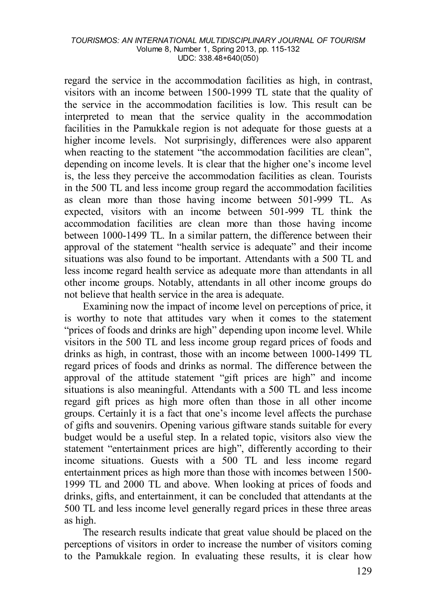regard the service in the accommodation facilities as high, in contrast, visitors with an income between 1500-1999 TL state that the quality of the service in the accommodation facilities is low. This result can be interpreted to mean that the service quality in the accommodation facilities in the Pamukkale region is not adequate for those guests at a higher income levels. Not surprisingly, differences were also apparent when reacting to the statement "the accommodation facilities are clean", depending on income levels. It is clear that the higher one's income level is, the less they perceive the accommodation facilities as clean. Tourists in the 500 TL and less income group regard the accommodation facilities as clean more than those having income between 501-999 TL. As expected, visitors with an income between 501-999 TL think the accommodation facilities are clean more than those having income between 1000-1499 TL. In a similar pattern, the difference between their approval of the statement "health service is adequate" and their income situations was also found to be important. Attendants with a 500 TL and less income regard health service as adequate more than attendants in all other income groups. Notably, attendants in all other income groups do not believe that health service in the area is adequate.

Examining now the impact of income level on perceptions of price, it is worthy to note that attitudes vary when it comes to the statement "prices of foods and drinks are high" depending upon income level. While visitors in the 500 TL and less income group regard prices of foods and drinks as high, in contrast, those with an income between 1000-1499 TL regard prices of foods and drinks as normal. The difference between the approval of the attitude statement "gift prices are high" and income situations is also meaningful. Attendants with a 500 TL and less income regard gift prices as high more often than those in all other income groups. Certainly it is a fact that one's income level affects the purchase of gifts and souvenirs. Opening various giftware stands suitable for every budget would be a useful step. In a related topic, visitors also view the statement "entertainment prices are high", differently according to their income situations. Guests with a 500 TL and less income regard entertainment prices as high more than those with incomes between 1500- 1999 TL and 2000 TL and above. When looking at prices of foods and drinks, gifts, and entertainment, it can be concluded that attendants at the 500 TL and less income level generally regard prices in these three areas as high.

The research results indicate that great value should be placed on the perceptions of visitors in order to increase the number of visitors coming to the Pamukkale region. In evaluating these results, it is clear how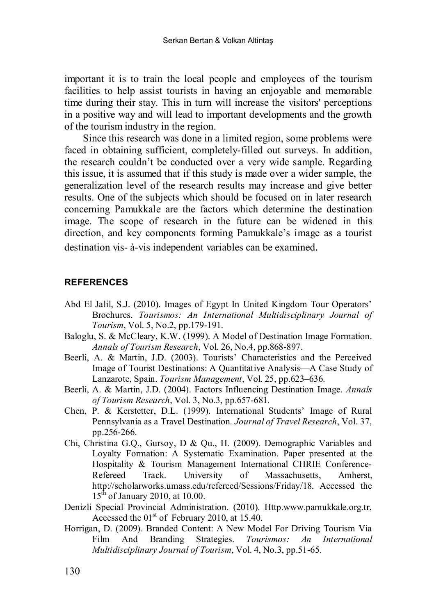important it is to train the local people and employees of the tourism facilities to help assist tourists in having an enjoyable and memorable time during their stay. This in turn will increase the visitors' perceptions in a positive way and will lead to important developments and the growth of the tourism industry in the region.

Since this research was done in a limited region, some problems were faced in obtaining sufficient, completely-filled out surveys. In addition, the research couldn't be conducted over a very wide sample. Regarding this issue, it is assumed that if this study is made over a wider sample, the generalization level of the research results may increase and give better results. One of the subjects which should be focused on in later research concerning Pamukkale are the factors which determine the destination image. The scope of research in the future can be widened in this direction, and key components forming Pamukkale's image as a tourist destination vis- à-vis independent variables can be examined.

### **REFERENCES**

- Abd El Jalil, S.J. (2010). Images of Egypt In United Kingdom Tour Operators' Brochures. *Tourismos: An International Multidisciplinary Journal of Tourism*, Vol. 5, No.2, pp.179-191.
- Baloglu, S. & McCleary, K.W. (1999). A Model of Destination Image Formation. *Annals of Tourism Research*, Vol. 26, No.4, pp.868-897.
- Beerli, A. & Martin, J.D. (2003). Tourists' Characteristics and the Perceived Image of Tourist Destinations: A Quantitative Analysis—A Case Study of Lanzarote, Spain. *Tourism Management*, Vol. 25, pp.623–636.
- Beerli, A. & Martin, J.D. (2004). Factors Influencing Destination Image. *Annals of Tourism Research*, Vol. 3, No.3, pp.657-681.
- Chen, P. & Kerstetter, D.L. (1999). International Students' Image of Rural Pennsylvania as a Travel Destination*. Journal of Travel Research*, Vol. 37, pp.256-266.
- Chi, Christina G.Q., Gursoy, D & Qu., H. (2009). Demographic Variables and Loyalty Formation: A Systematic Examination. Paper presented at the Hospitality & Tourism Management International CHRIE Conference-Refereed Track. University of Massachusetts, Amherst, http://scholarworks.umass.edu/refereed/Sessions/Friday/18. Accessed the  $15<sup>th</sup>$  of January 2010, at 10.00.
- Denizli Special Provincial Administration. (2010). Http.www.pamukkale.org.tr, Accessed the  $01<sup>st</sup>$  of February 2010, at 15.40.
- Horrigan, D. (2009). Branded Content: A New Model For Driving Tourism Via<br>Film And Branding Strategies. Tourismos: An International Film And Branding Strategies. *Tourismos: An International Multidisciplinary Journal of Tourism*, Vol. 4, No.3, pp.51-65.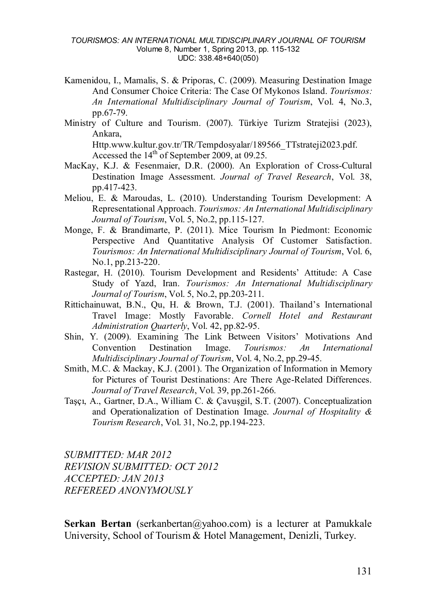- Kamenidou, I., Mamalis, S. & Priporas, C. (2009). Measuring Destination Image And Consumer Choice Criteria: The Case Of Mykonos Island. *Tourismos: An International Multidisciplinary Journal of Tourism*, Vol. 4, No.3, pp.67-79.
- Ministry of Culture and Tourism. (2007). Türkiye Turizm Stratejisi (2023), Ankara, Http.www.kultur.gov.tr/TR/Tempdosyalar/189566\_TTstrateji2023.pdf.

Accessed the  $14<sup>th</sup>$  of September 2009, at 09.25.

- MacKay, K.J. & Fesenmaier, D.R. (2000). An Exploration of Cross-Cultural Destination Image Assessment. *Journal of Travel Research*, Vol. 38, pp.417-423.
- Meliou, E. & Maroudas, L. (2010). Understanding Tourism Development: A Representational Approach. *Tourismos: An International Multidisciplinary Journal of Tourism*, Vol. 5, No.2, pp.115-127.
- Monge, F. & Brandimarte, P. (2011). Mice Tourism In Piedmont: Economic Perspective And Quantitative Analysis Of Customer Satisfaction. *Tourismos: An International Multidisciplinary Journal of Tourism*, Vol. 6, No.1, pp.213-220.
- Rastegar, H. (2010). Tourism Development and Residents' Attitude: A Case Study of Yazd, Iran. *Tourismos: An International Multidisciplinary Journal of Tourism*, Vol. 5, No.2, pp.203-211.
- Rittichainuwat, B.N., Qu, H. & Brown, T.J. (2001). Thailand's International Travel Image: Mostly Favorable. *Cornell Hotel and Restaurant Administration Quarterly*, Vol. 42, pp.82-95.
- Shin, Y. (2009). Examining The Link Between Visitors' Motivations And Convention Destination Image. *Tourismos: An International Multidisciplinary Journal of Tourism*, Vol. 4, No.2, pp.29-45.
- Smith, M.C. & Mackay, K.J. (2001). The Organization of Information in Memory for Pictures of Tourist Destinations: Are There Age-Related Differences. *Journal of Travel Research*, Vol. 39, pp.261-266.
- Taşçı, A., Gartner, D.A., William C. & Çavuşgil, S.T. (2007). Conceptualization and Operationalization of Destination Image. *Journal of Hospitality & Tourism Research*, Vol. 31, No.2, pp.194-223.

*SUBMITTED: MAR 2012 REVISION SUBMITTED: OCT 2012 ACCEPTED: JAN 2013 REFEREED ANONYMOUSLY*

**Serkan Bertan** (serkanbertan@yahoo.com) is a lecturer at Pamukkale University, School of Tourism & Hotel Management, Denizli, Turkey.